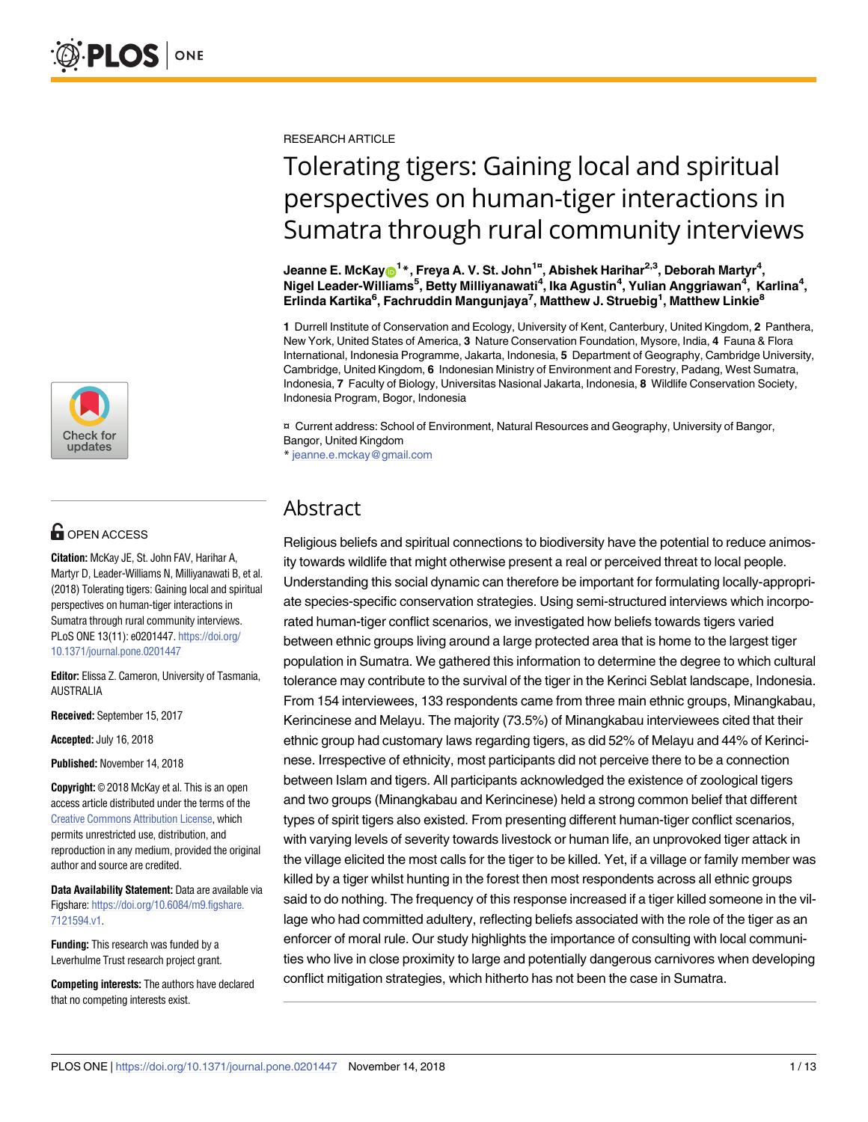

# **OPEN ACCESS**

**Citation:** McKay JE, St. John FAV, Harihar A, Martyr D, Leader-Williams N, Milliyanawati B, et al. (2018) Tolerating tigers: Gaining local and spiritual perspectives on human-tiger interactions in Sumatra through rural community interviews. PLoS ONE 13(11): e0201447. [https://doi.org/](https://doi.org/10.1371/journal.pone.0201447) [10.1371/journal.pone.0201447](https://doi.org/10.1371/journal.pone.0201447)

**Editor:** Elissa Z. Cameron, University of Tasmania, AUSTRALIA

**Received:** September 15, 2017

**Accepted:** July 16, 2018

**Published:** November 14, 2018

**Copyright:** © 2018 McKay et al. This is an open access article distributed under the terms of the Creative Commons [Attribution](http://creativecommons.org/licenses/by/4.0/) License, which permits unrestricted use, distribution, and reproduction in any medium, provided the original author and source are credited.

**Data Availability Statement:** Data are available via Figshare: [https://doi.org/10.6084/m9.figshare.](https://doi.org/10.6084/m9.figshare.7121594.v1) [7121594.v1](https://doi.org/10.6084/m9.figshare.7121594.v1).

**Funding:** This research was funded by a Leverhulme Trust research project grant.

**Competing interests:** The authors have declared that no competing interests exist.

RESEARCH ARTICLE

# Tolerating tigers: Gaining local and spiritual perspectives on human-tiger interactions in Sumatra through rural community interviews

 $\bm{E}$  Jeanne **E. McKay** $\bm{\Theta}^{\bm{1}*},$  **Freya A. V. St. John** $^{\bm{1}*}$ **, Abishek Harihar** $^{2,3},$  **Deborah Martyr** $^{\bm{4}},$ **Nigel Leader-Williams5 , Betty Milliyanawati4 , Ika Agustin4 , Yulian Anggriawan4 , Karlina4 , Erlinda Kartika6 , Fachruddin Mangunjaya7 , Matthew J. Struebig1 , Matthew Linkie8**

**1** Durrell Institute of Conservation and Ecology, University of Kent, Canterbury, United Kingdom, **2** Panthera, New York, United States of America, **3** Nature Conservation Foundation, Mysore, India, **4** Fauna & Flora International, Indonesia Programme, Jakarta, Indonesia, **5** Department of Geography, Cambridge University, Cambridge, United Kingdom, **6** Indonesian Ministry of Environment and Forestry, Padang, West Sumatra, Indonesia, **7** Faculty of Biology, Universitas Nasional Jakarta, Indonesia, **8** Wildlife Conservation Society, Indonesia Program, Bogor, Indonesia

¤ Current address: School of Environment, Natural Resources and Geography, University of Bangor, Bangor, United Kingdom

\* jeanne.e.mckay@gmail.com

# Abstract

Religious beliefs and spiritual connections to biodiversity have the potential to reduce animosity towards wildlife that might otherwise present a real or perceived threat to local people. Understanding this social dynamic can therefore be important for formulating locally-appropriate species-specific conservation strategies. Using semi-structured interviews which incorporated human-tiger conflict scenarios, we investigated how beliefs towards tigers varied between ethnic groups living around a large protected area that is home to the largest tiger population in Sumatra. We gathered this information to determine the degree to which cultural tolerance may contribute to the survival of the tiger in the Kerinci Seblat landscape, Indonesia. From 154 interviewees, 133 respondents came from three main ethnic groups, Minangkabau, Kerincinese and Melayu. The majority (73.5%) of Minangkabau interviewees cited that their ethnic group had customary laws regarding tigers, as did 52% of Melayu and 44% of Kerincinese. Irrespective of ethnicity, most participants did not perceive there to be a connection between Islam and tigers. All participants acknowledged the existence of zoological tigers and two groups (Minangkabau and Kerincinese) held a strong common belief that different types of spirit tigers also existed. From presenting different human-tiger conflict scenarios, with varying levels of severity towards livestock or human life, an unprovoked tiger attack in the village elicited the most calls for the tiger to be killed. Yet, if a village or family member was killed by a tiger whilst hunting in the forest then most respondents across all ethnic groups said to do nothing. The frequency of this response increased if a tiger killed someone in the village who had committed adultery, reflecting beliefs associated with the role of the tiger as an enforcer of moral rule. Our study highlights the importance of consulting with local communities who live in close proximity to large and potentially dangerous carnivores when developing conflict mitigation strategies, which hitherto has not been the case in Sumatra.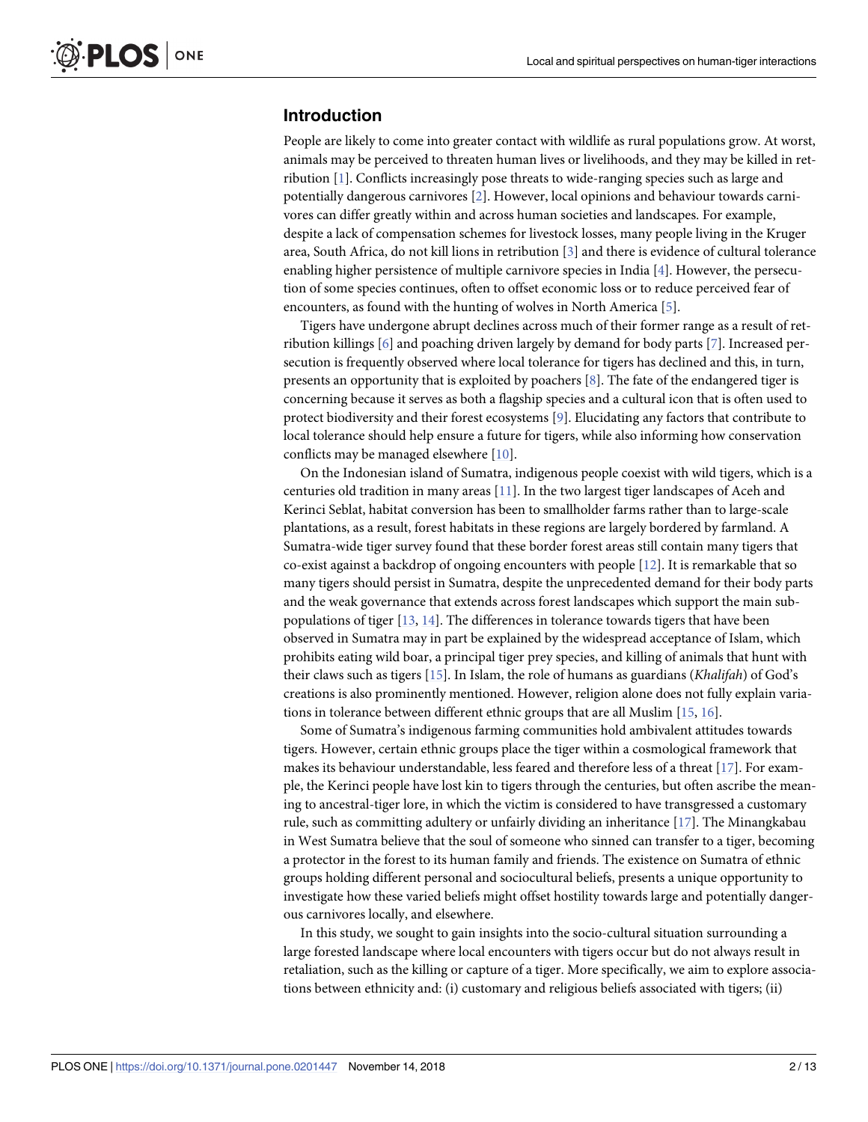#### <span id="page-1-0"></span>**Introduction**

People are likely to come into greater contact with wildlife as rural populations grow. At worst, animals may be perceived to threaten human lives or livelihoods, and they may be killed in retribution [[1](#page-10-0)]. Conflicts increasingly pose threats to wide-ranging species such as large and potentially dangerous carnivores [[2](#page-10-0)]. However, local opinions and behaviour towards carnivores can differ greatly within and across human societies and landscapes. For example, despite a lack of compensation schemes for livestock losses, many people living in the Kruger area, South Africa, do not kill lions in retribution [\[3\]](#page-10-0) and there is evidence of cultural tolerance enabling higher persistence of multiple carnivore species in India [\[4\]](#page-11-0). However, the persecution of some species continues, often to offset economic loss or to reduce perceived fear of encounters, as found with the hunting of wolves in North America [[5\]](#page-11-0).

Tigers have undergone abrupt declines across much of their former range as a result of retribution killings [[6](#page-11-0)] and poaching driven largely by demand for body parts [[7](#page-11-0)]. Increased persecution is frequently observed where local tolerance for tigers has declined and this, in turn, presents an opportunity that is exploited by poachers [[8\]](#page-11-0). The fate of the endangered tiger is concerning because it serves as both a flagship species and a cultural icon that is often used to protect biodiversity and their forest ecosystems [[9\]](#page-11-0). Elucidating any factors that contribute to local tolerance should help ensure a future for tigers, while also informing how conservation conflicts may be managed elsewhere [[10](#page-11-0)].

On the Indonesian island of Sumatra, indigenous people coexist with wild tigers, which is a centuries old tradition in many areas [\[11\]](#page-11-0). In the two largest tiger landscapes of Aceh and Kerinci Seblat, habitat conversion has been to smallholder farms rather than to large-scale plantations, as a result, forest habitats in these regions are largely bordered by farmland. A Sumatra-wide tiger survey found that these border forest areas still contain many tigers that co-exist against a backdrop of ongoing encounters with people [[12](#page-11-0)]. It is remarkable that so many tigers should persist in Sumatra, despite the unprecedented demand for their body parts and the weak governance that extends across forest landscapes which support the main subpopulations of tiger  $[13, 14]$  $[13, 14]$  $[13, 14]$  $[13, 14]$ . The differences in tolerance towards tigers that have been observed in Sumatra may in part be explained by the widespread acceptance of Islam, which prohibits eating wild boar, a principal tiger prey species, and killing of animals that hunt with their claws such as tigers [[15](#page-11-0)]. In Islam, the role of humans as guardians (*Khalifah*) of God's creations is also prominently mentioned. However, religion alone does not fully explain variations in tolerance between different ethnic groups that are all Muslim [\[15,](#page-11-0) [16\]](#page-11-0).

Some of Sumatra's indigenous farming communities hold ambivalent attitudes towards tigers. However, certain ethnic groups place the tiger within a cosmological framework that makes its behaviour understandable, less feared and therefore less of a threat [\[17\]](#page-11-0). For example, the Kerinci people have lost kin to tigers through the centuries, but often ascribe the meaning to ancestral-tiger lore, in which the victim is considered to have transgressed a customary rule, such as committing adultery or unfairly dividing an inheritance [\[17\]](#page-11-0). The Minangkabau in West Sumatra believe that the soul of someone who sinned can transfer to a tiger, becoming a protector in the forest to its human family and friends. The existence on Sumatra of ethnic groups holding different personal and sociocultural beliefs, presents a unique opportunity to investigate how these varied beliefs might offset hostility towards large and potentially dangerous carnivores locally, and elsewhere.

In this study, we sought to gain insights into the socio-cultural situation surrounding a large forested landscape where local encounters with tigers occur but do not always result in retaliation, such as the killing or capture of a tiger. More specifically, we aim to explore associations between ethnicity and: (i) customary and religious beliefs associated with tigers; (ii)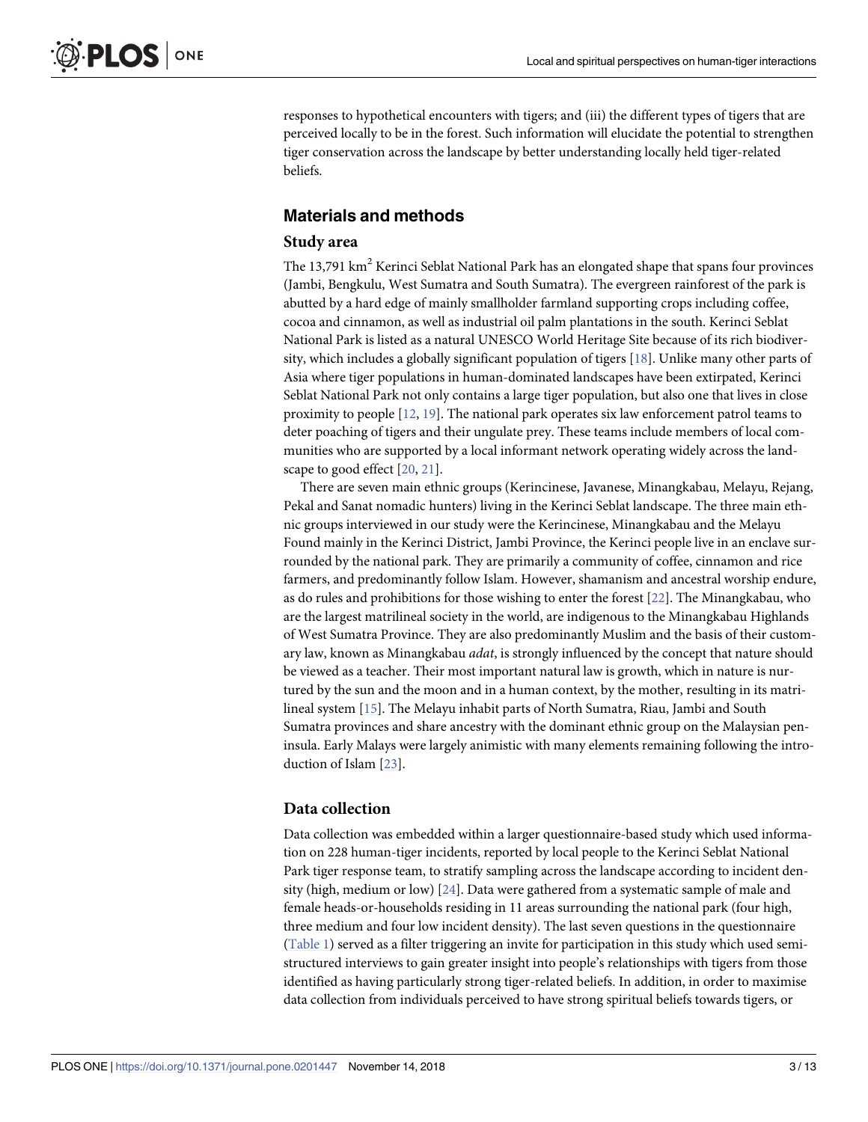<span id="page-2-0"></span>responses to hypothetical encounters with tigers; and (iii) the different types of tigers that are perceived locally to be in the forest. Such information will elucidate the potential to strengthen tiger conservation across the landscape by better understanding locally held tiger-related beliefs.

# **Materials and methods**

#### **Study area**

The 13,791 km<sup>2</sup> Kerinci Seblat National Park has an elongated shape that spans four provinces (Jambi, Bengkulu, West Sumatra and South Sumatra). The evergreen rainforest of the park is abutted by a hard edge of mainly smallholder farmland supporting crops including coffee, cocoa and cinnamon, as well as industrial oil palm plantations in the south. Kerinci Seblat National Park is listed as a natural UNESCO World Heritage Site because of its rich biodiversity, which includes a globally significant population of tigers [\[18\]](#page-11-0). Unlike many other parts of Asia where tiger populations in human-dominated landscapes have been extirpated, Kerinci Seblat National Park not only contains a large tiger population, but also one that lives in close proximity to people [\[12,](#page-11-0) [19\]](#page-11-0). The national park operates six law enforcement patrol teams to deter poaching of tigers and their ungulate prey. These teams include members of local communities who are supported by a local informant network operating widely across the landscape to good effect [\[20,](#page-11-0) [21\]](#page-11-0).

There are seven main ethnic groups (Kerincinese, Javanese, Minangkabau, Melayu, Rejang, Pekal and Sanat nomadic hunters) living in the Kerinci Seblat landscape. The three main ethnic groups interviewed in our study were the Kerincinese, Minangkabau and the Melayu Found mainly in the Kerinci District, Jambi Province, the Kerinci people live in an enclave surrounded by the national park. They are primarily a community of coffee, cinnamon and rice farmers, and predominantly follow Islam. However, shamanism and ancestral worship endure, as do rules and prohibitions for those wishing to enter the forest [[22](#page-11-0)]. The Minangkabau, who are the largest matrilineal society in the world, are indigenous to the Minangkabau Highlands of West Sumatra Province. They are also predominantly Muslim and the basis of their customary law, known as Minangkabau *adat*, is strongly influenced by the concept that nature should be viewed as a teacher. Their most important natural law is growth, which in nature is nurtured by the sun and the moon and in a human context, by the mother, resulting in its matrilineal system [[15](#page-11-0)]. The Melayu inhabit parts of North Sumatra, Riau, Jambi and South Sumatra provinces and share ancestry with the dominant ethnic group on the Malaysian peninsula. Early Malays were largely animistic with many elements remaining following the introduction of Islam [[23](#page-11-0)].

#### **Data collection**

Data collection was embedded within a larger questionnaire-based study which used information on 228 human-tiger incidents, reported by local people to the Kerinci Seblat National Park tiger response team, to stratify sampling across the landscape according to incident density (high, medium or low) [\[24\]](#page-11-0). Data were gathered from a systematic sample of male and female heads-or-households residing in 11 areas surrounding the national park (four high, three medium and four low incident density). The last seven questions in the questionnaire [\(Table](#page-3-0) 1) served as a filter triggering an invite for participation in this study which used semistructured interviews to gain greater insight into people's relationships with tigers from those identified as having particularly strong tiger-related beliefs. In addition, in order to maximise data collection from individuals perceived to have strong spiritual beliefs towards tigers, or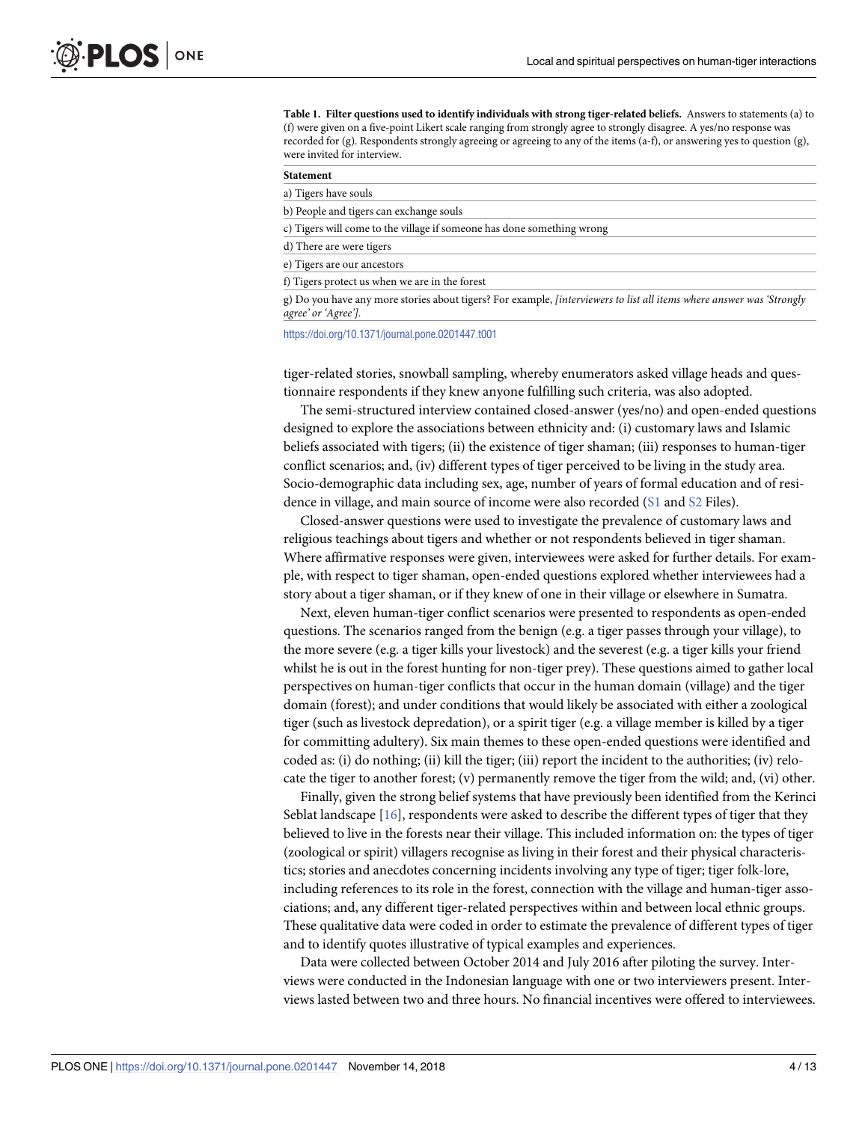<span id="page-3-0"></span>**[Table](#page-2-0) 1. Filter questions used to identify individuals with strong tiger-related beliefs.** Answers to statements (a) to (f) were given on a five-point Likert scale ranging from strongly agree to strongly disagree. A yes/no response was recorded for (g). Respondents strongly agreeing or agreeing to any of the items (a-f), or answering yes to question (g), were invited for interview.

<https://doi.org/10.1371/journal.pone.0201447.t001>

tiger-related stories, snowball sampling, whereby enumerators asked village heads and questionnaire respondents if they knew anyone fulfilling such criteria, was also adopted.

The semi-structured interview contained closed-answer (yes/no) and open-ended questions designed to explore the associations between ethnicity and: (i) customary laws and Islamic beliefs associated with tigers; (ii) the existence of tiger shaman; (iii) responses to human-tiger conflict scenarios; and, (iv) different types of tiger perceived to be living in the study area. Socio-demographic data including sex, age, number of years of formal education and of residence in village, and main source of income were also recorded ([S1](#page-10-0) and [S2](#page-10-0) Files).

Closed-answer questions were used to investigate the prevalence of customary laws and religious teachings about tigers and whether or not respondents believed in tiger shaman. Where affirmative responses were given, interviewees were asked for further details. For example, with respect to tiger shaman, open-ended questions explored whether interviewees had a story about a tiger shaman, or if they knew of one in their village or elsewhere in Sumatra.

Next, eleven human-tiger conflict scenarios were presented to respondents as open-ended questions. The scenarios ranged from the benign (e.g. a tiger passes through your village), to the more severe (e.g. a tiger kills your livestock) and the severest (e.g. a tiger kills your friend whilst he is out in the forest hunting for non-tiger prey). These questions aimed to gather local perspectives on human-tiger conflicts that occur in the human domain (village) and the tiger domain (forest); and under conditions that would likely be associated with either a zoological tiger (such as livestock depredation), or a spirit tiger (e.g. a village member is killed by a tiger for committing adultery). Six main themes to these open-ended questions were identified and coded as: (i) do nothing; (ii) kill the tiger; (iii) report the incident to the authorities; (iv) relocate the tiger to another forest; (v) permanently remove the tiger from the wild; and, (vi) other.

Finally, given the strong belief systems that have previously been identified from the Kerinci Seblat landscape [[16](#page-11-0)], respondents were asked to describe the different types of tiger that they believed to live in the forests near their village. This included information on: the types of tiger (zoological or spirit) villagers recognise as living in their forest and their physical characteristics; stories and anecdotes concerning incidents involving any type of tiger; tiger folk-lore, including references to its role in the forest, connection with the village and human-tiger associations; and, any different tiger-related perspectives within and between local ethnic groups. These qualitative data were coded in order to estimate the prevalence of different types of tiger and to identify quotes illustrative of typical examples and experiences.

Data were collected between October 2014 and July 2016 after piloting the survey. Interviews were conducted in the Indonesian language with one or two interviewers present. Interviews lasted between two and three hours. No financial incentives were offered to interviewees.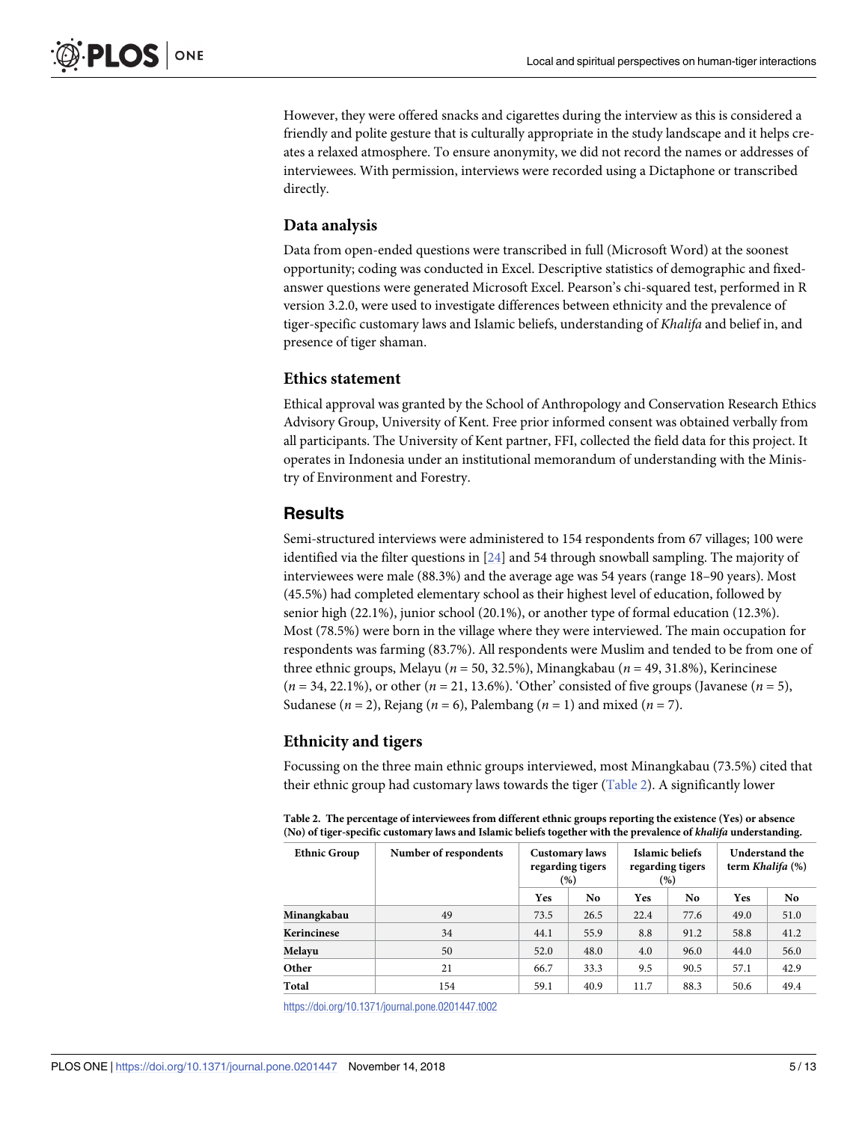However, they were offered snacks and cigarettes during the interview as this is considered a friendly and polite gesture that is culturally appropriate in the study landscape and it helps creates a relaxed atmosphere. To ensure anonymity, we did not record the names or addresses of interviewees. With permission, interviews were recorded using a Dictaphone or transcribed directly.

#### **Data analysis**

Data from open-ended questions were transcribed in full (Microsoft Word) at the soonest opportunity; coding was conducted in Excel. Descriptive statistics of demographic and fixedanswer questions were generated Microsoft Excel. Pearson's chi-squared test, performed in R version 3.2.0, were used to investigate differences between ethnicity and the prevalence of tiger-specific customary laws and Islamic beliefs, understanding of *Khalifa* and belief in, and presence of tiger shaman.

#### **Ethics statement**

Ethical approval was granted by the School of Anthropology and Conservation Research Ethics Advisory Group, University of Kent. Free prior informed consent was obtained verbally from all participants. The University of Kent partner, FFI, collected the field data for this project. It operates in Indonesia under an institutional memorandum of understanding with the Ministry of Environment and Forestry.

# **Results**

Semi-structured interviews were administered to 154 respondents from 67 villages; 100 were identified via the filter questions in [\[24\]](#page-11-0) and 54 through snowball sampling. The majority of interviewees were male (88.3%) and the average age was 54 years (range 18–90 years). Most (45.5%) had completed elementary school as their highest level of education, followed by senior high (22.1%), junior school (20.1%), or another type of formal education (12.3%). Most (78.5%) were born in the village where they were interviewed. The main occupation for respondents was farming (83.7%). All respondents were Muslim and tended to be from one of three ethnic groups, Melayu (*n* = 50, 32.5%), Minangkabau (*n* = 49, 31.8%), Kerincinese (*n* = 34, 22.1%), or other (*n* = 21, 13.6%). 'Other' consisted of five groups (Javanese (*n* = 5), Sudanese (*n* = 2), Rejang (*n* = 6), Palembang (*n* = 1) and mixed (*n* = 7).

# **Ethnicity and tigers**

Focussing on the three main ethnic groups interviewed, most Minangkabau (73.5%) cited that their ethnic group had customary laws towards the tiger (Table 2). A significantly lower

|                                                                                                                  | Table 2. The percentage of interviewees from different ethnic groups reporting the existence (Yes) or absence |  |  |  |  |  |  |  |
|------------------------------------------------------------------------------------------------------------------|---------------------------------------------------------------------------------------------------------------|--|--|--|--|--|--|--|
| (No) of tiger-specific customary laws and Islamic beliefs together with the prevalence of khalifa understanding. |                                                                                                               |  |  |  |  |  |  |  |
|                                                                                                                  |                                                                                                               |  |  |  |  |  |  |  |

| <b>Ethnic Group</b> | Number of respondents | <b>Customary laws</b><br>regarding tigers<br>(%) |      | Islamic beliefs<br>regarding tigers<br>(%) | Understand the<br>term <i>Khalifa</i> (%) |            |      |
|---------------------|-----------------------|--------------------------------------------------|------|--------------------------------------------|-------------------------------------------|------------|------|
|                     |                       | Yes                                              | No.  | Yes                                        | No.                                       | <b>Yes</b> | No.  |
| Minangkabau         | 49                    | 73.5                                             | 26.5 | 22.4                                       | 77.6                                      | 49.0       | 51.0 |
| Kerincinese         | 34                    | 44.1                                             | 55.9 | 8.8                                        | 91.2                                      | 58.8       | 41.2 |
| Melayu              | 50                    | 52.0                                             | 48.0 | 4.0                                        | 96.0                                      | 44.0       | 56.0 |
| Other               | 21                    | 66.7                                             | 33.3 | 9.5                                        | 90.5                                      | 57.1       | 42.9 |
| Total               | 154                   | 59.1                                             | 40.9 | 11.7                                       | 88.3                                      | 50.6       | 49.4 |

<https://doi.org/10.1371/journal.pone.0201447.t002>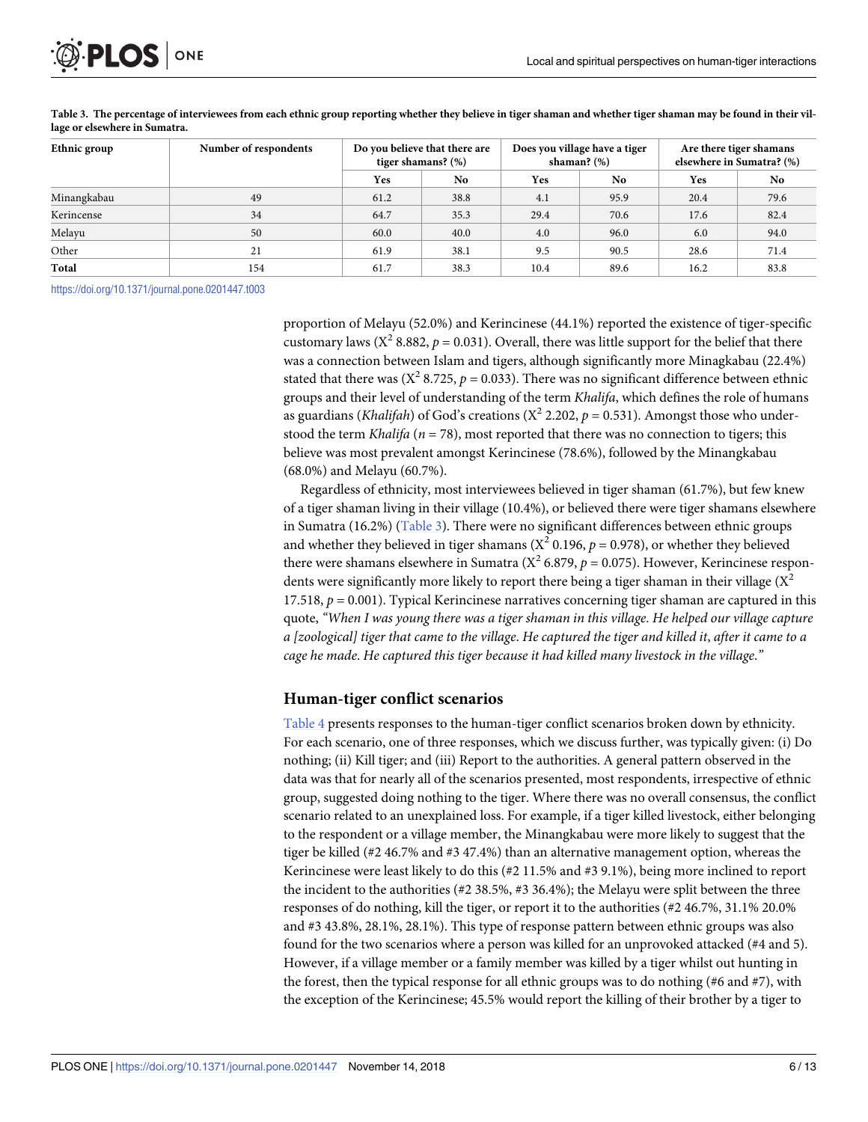<span id="page-5-0"></span>

| Ethnic group | Number of respondents | Do you believe that there are<br>tiger shamans? (%) |      | Does you village have a tiger<br>shaman? $(\%)$ |                | Are there tiger shamans<br>elsewhere in Sumatra? (%) |                |
|--------------|-----------------------|-----------------------------------------------------|------|-------------------------------------------------|----------------|------------------------------------------------------|----------------|
|              |                       | Yes                                                 | No.  | Yes                                             | N <sub>0</sub> | Yes                                                  | N <sub>0</sub> |
| Minangkabau  | 49                    | 61.2                                                | 38.8 | 4.1                                             | 95.9           | 20.4                                                 | 79.6           |
| Kerincense   | 34                    | 64.7                                                | 35.3 | 29.4                                            | 70.6           | 17.6                                                 | 82.4           |
| Melayu       | 50                    | 60.0                                                | 40.0 | 4.0                                             | 96.0           | 6.0                                                  | 94.0           |
| Other        | 21                    | 61.9                                                | 38.1 | 9.5                                             | 90.5           | 28.6                                                 | 71.4           |
| Total        | 154                   | 61.7                                                | 38.3 | 10.4                                            | 89.6           | 16.2                                                 | 83.8           |

Table 3. The percentage of interviewees from each ethnic group reporting whether they believe in tiger shaman and whether tiger shaman may be found in their vil**lage or elsewhere in Sumatra.**

<https://doi.org/10.1371/journal.pone.0201447.t003>

proportion of Melayu (52.0%) and Kerincinese (44.1%) reported the existence of tiger-specific customary laws ( $X^2$  8.882,  $p = 0.031$ ). Overall, there was little support for the belief that there was a connection between Islam and tigers, although significantly more Minagkabau (22.4%) stated that there was  $(X^2 8.725, p = 0.033)$ . There was no significant difference between ethnic groups and their level of understanding of the term *Khalifa*, which defines the role of humans as guardians (*Khalifah*) of God's creations ( $X^2$  2.202,  $p = 0.531$ ). Amongst those who understood the term *Khalifa* ( $n = 78$ ), most reported that there was no connection to tigers; this believe was most prevalent amongst Kerincinese (78.6%), followed by the Minangkabau (68.0%) and Melayu (60.7%).

Regardless of ethnicity, most interviewees believed in tiger shaman (61.7%), but few knew of a tiger shaman living in their village (10.4%), or believed there were tiger shamans elsewhere in Sumatra (16.2%) (Table 3). There were no significant differences between ethnic groups and whether they believed in tiger shamans ( $X^2$  0.196,  $p = 0.978$ ), or whether they believed there were shamans elsewhere in Sumatra  $(X^2 6.879, p = 0.075)$ . However, Kerincinese respondents were significantly more likely to report there being a tiger shaman in their village  $(X^2)$ 17.518,  $p = 0.001$ ). Typical Kerincinese narratives concerning tiger shaman are captured in this quote, *"When I was young there was a tiger shaman in this village*. *He helped our village capture* a [zoological] tiger that came to the village. He captured the tiger and killed it, after it came to a *cage he made*. *He captured this tiger because it had killed many livestock in the village*.*"*

#### **Human-tiger conflict scenarios**

[Table](#page-6-0) 4 presents responses to the human-tiger conflict scenarios broken down by ethnicity. For each scenario, one of three responses, which we discuss further, was typically given: (i) Do nothing; (ii) Kill tiger; and (iii) Report to the authorities. A general pattern observed in the data was that for nearly all of the scenarios presented, most respondents, irrespective of ethnic group, suggested doing nothing to the tiger. Where there was no overall consensus, the conflict scenario related to an unexplained loss. For example, if a tiger killed livestock, either belonging to the respondent or a village member, the Minangkabau were more likely to suggest that the tiger be killed (#2 46.7% and #3 47.4%) than an alternative management option, whereas the Kerincinese were least likely to do this (#2 11.5% and #3 9.1%), being more inclined to report the incident to the authorities (#2 38.5%, #3 36.4%); the Melayu were split between the three responses of do nothing, kill the tiger, or report it to the authorities (#2 46.7%, 31.1% 20.0% and #3 43.8%, 28.1%, 28.1%). This type of response pattern between ethnic groups was also found for the two scenarios where a person was killed for an unprovoked attacked (#4 and 5). However, if a village member or a family member was killed by a tiger whilst out hunting in the forest, then the typical response for all ethnic groups was to do nothing (#6 and #7), with the exception of the Kerincinese; 45.5% would report the killing of their brother by a tiger to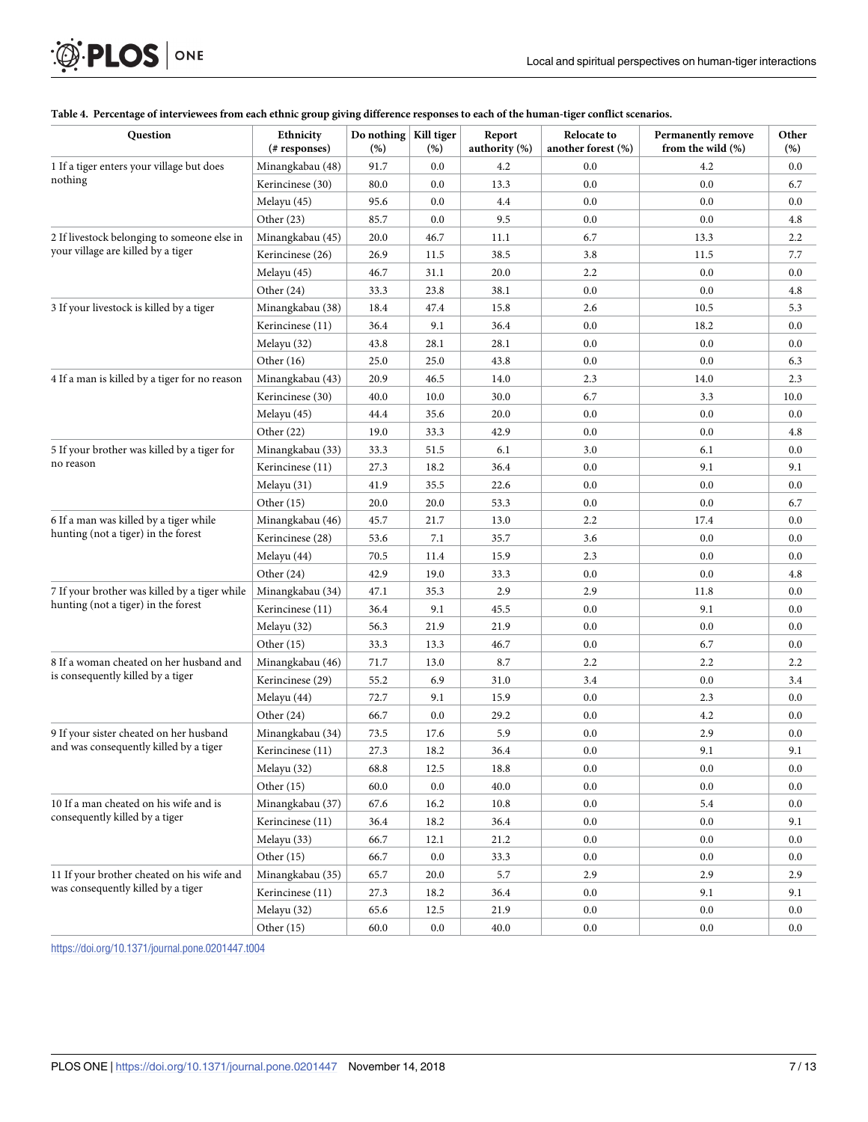| <b>Question</b>                                                                   | Ethnicity<br>(# responses) | Do nothing   Kill tiger<br>(%) | $(\%)$  | Report<br>authority (%) | Relocate to<br>another forest (%) | <b>Permanently remove</b><br>from the wild (%) | Other<br>(%) |
|-----------------------------------------------------------------------------------|----------------------------|--------------------------------|---------|-------------------------|-----------------------------------|------------------------------------------------|--------------|
| 1 If a tiger enters your village but does                                         | Minangkabau (48)           | 91.7                           | 0.0     | 4.2                     | 0.0                               | 4.2                                            | 0.0          |
| nothing                                                                           | Kerincinese (30)           | 80.0                           | 0.0     | 13.3                    | 0.0                               | 0.0                                            | 6.7          |
|                                                                                   | Melayu (45)                | 95.6                           | 0.0     | 4.4                     | 0.0                               | 0.0                                            | 0.0          |
|                                                                                   | Other $(23)$               | 85.7                           | 0.0     | 9.5                     | 0.0                               | 0.0                                            | 4.8          |
| 2 If livestock belonging to someone else in                                       | Minangkabau (45)           | 20.0                           | 46.7    | 11.1                    | 6.7                               | 13.3                                           | 2.2          |
| your village are killed by a tiger                                                | Kerincinese (26)           | 26.9                           | 11.5    | 38.5                    | 3.8                               | 11.5                                           | 7.7          |
|                                                                                   | Melayu (45)                | 46.7                           | 31.1    | 20.0                    | 2.2                               | 0.0                                            | 0.0          |
|                                                                                   | Other (24)                 | 33.3                           | 23.8    | 38.1                    | 0.0                               | 0.0                                            | 4.8          |
| 3 If your livestock is killed by a tiger                                          | Minangkabau (38)           | 18.4                           | 47.4    | 15.8                    | 2.6                               | 10.5                                           | 5.3          |
|                                                                                   | Kerincinese (11)           | 36.4                           | 9.1     | 36.4                    | 0.0                               | 18.2                                           | 0.0          |
|                                                                                   | Melayu (32)                | 43.8                           | 28.1    | 28.1                    | 0.0                               | 0.0                                            | 0.0          |
|                                                                                   | Other (16)                 | 25.0                           | 25.0    | 43.8                    | 0.0                               | 0.0                                            | 6.3          |
| 4 If a man is killed by a tiger for no reason                                     | Minangkabau (43)           | 20.9                           | 46.5    | 14.0                    | 2.3                               | 14.0                                           | 2.3          |
|                                                                                   | Kerincinese (30)           | 40.0                           | 10.0    | 30.0                    | 6.7                               | 3.3                                            | 10.0         |
|                                                                                   | Melayu (45)                | 44.4                           | 35.6    | 20.0                    | 0.0                               | 0.0                                            | 0.0          |
|                                                                                   | Other $(22)$               | 19.0                           | 33.3    | 42.9                    | 0.0                               | 0.0                                            | 4.8          |
| 5 If your brother was killed by a tiger for                                       | Minangkabau (33)           | 33.3                           | 51.5    | 6.1                     | 3.0                               | 6.1                                            | 0.0          |
| no reason                                                                         | Kerincinese (11)           | 27.3                           | 18.2    | 36.4                    | 0.0                               | 9.1                                            | 9.1          |
|                                                                                   | Melayu (31)                | 41.9                           | 35.5    | 22.6                    | 0.0                               | 0.0                                            | 0.0          |
|                                                                                   | Other (15)                 | 20.0                           | 20.0    | 53.3                    | 0.0                               | 0.0                                            | 6.7          |
| 6 If a man was killed by a tiger while                                            | Minangkabau (46)           | 45.7                           | 21.7    | 13.0                    | 2.2                               | 17.4                                           | 0.0          |
| hunting (not a tiger) in the forest                                               | Kerincinese (28)           | 53.6                           | 7.1     | 35.7                    | 3.6                               | 0.0                                            | 0.0          |
|                                                                                   | Melayu (44)                | 70.5                           | 11.4    | 15.9                    | 2.3                               | 0.0                                            | 0.0          |
|                                                                                   | Other (24)                 | 42.9                           | 19.0    | 33.3                    | 0.0                               | 0.0                                            | 4.8          |
| 7 If your brother was killed by a tiger while                                     | Minangkabau (34)           | 47.1                           | 35.3    | 2.9                     | 2.9                               | 11.8                                           | 0.0          |
| hunting (not a tiger) in the forest                                               | Kerincinese (11)           | 36.4                           | 9.1     | 45.5                    | 0.0                               | 9.1                                            | 0.0          |
|                                                                                   | Melayu (32)                | 56.3                           | 21.9    | 21.9                    | 0.0                               | 0.0                                            | 0.0          |
|                                                                                   | Other (15)                 | 33.3                           | 13.3    | 46.7                    | 0.0                               | 6.7                                            | 0.0          |
| 8 If a woman cheated on her husband and                                           | Minangkabau (46)           | 71.7                           | 13.0    | 8.7                     | $2.2\phantom{0}$                  | 2.2                                            | 2.2          |
| is consequently killed by a tiger                                                 | Kerincinese (29)           | 55.2                           | 6.9     | 31.0                    | 3.4                               | 0.0                                            | 3.4          |
|                                                                                   | Melayu (44)                | 72.7                           | 9.1     | 15.9                    | 0.0                               | 2.3                                            | 0.0          |
|                                                                                   | Other (24)                 | 66.7                           | 0.0     | 29.2                    | 0.0                               | 4.2                                            | 0.0          |
| 9 If your sister cheated on her husband<br>and was consequently killed by a tiger | Minangkabau (34)           | 73.5                           | 17.6    | 5.9                     | 0.0                               | 2.9                                            | 0.0          |
|                                                                                   | Kerincinese (11)           | 27.3                           | 18.2    | 36.4                    | 0.0                               | 9.1                                            | 9.1          |
|                                                                                   | Melayu (32)                | 68.8                           | 12.5    | 18.8                    | 0.0                               | 0.0                                            | 0.0          |
|                                                                                   | Other (15)                 | 60.0                           | $0.0\,$ | 40.0                    | 0.0                               | 0.0                                            | 0.0          |
| 10 If a man cheated on his wife and is                                            | Minangkabau (37)           | 67.6                           | 16.2    | 10.8                    | 0.0                               | 5.4                                            | 0.0          |
| consequently killed by a tiger                                                    | Kerincinese (11)           | 36.4                           | 18.2    | 36.4                    | 0.0                               | 0.0                                            | 9.1          |
|                                                                                   | Melayu (33)                | 66.7                           | 12.1    | 21.2                    | 0.0                               | 0.0                                            | 0.0          |
|                                                                                   | Other (15)                 | 66.7                           | $0.0\,$ | 33.3                    | 0.0                               | 0.0                                            | 0.0          |
| 11 If your brother cheated on his wife and                                        | Minangkabau (35)           | 65.7                           | 20.0    | 5.7                     | 2.9                               | 2.9                                            | 2.9          |
| was consequently killed by a tiger                                                | Kerincinese (11)           | 27.3                           | 18.2    | 36.4                    | 0.0                               | 9.1                                            | 9.1          |
|                                                                                   | Melayu (32)                | 65.6                           | 12.5    | 21.9                    | 0.0                               | 0.0                                            | 0.0          |
|                                                                                   | Other (15)                 | 60.0                           | $0.0\,$ | 40.0                    | $0.0\,$                           | 0.0                                            | 0.0          |
|                                                                                   |                            |                                |         |                         |                                   |                                                |              |

#### [Table](#page-5-0) 4. Percentage of interviewees from each ethnic group giving difference responses to each of the human-tiger conflict scenarios.

<https://doi.org/10.1371/journal.pone.0201447.t004>

<span id="page-6-0"></span> $\mathcal{D}$  PLOS  $\vert$  on E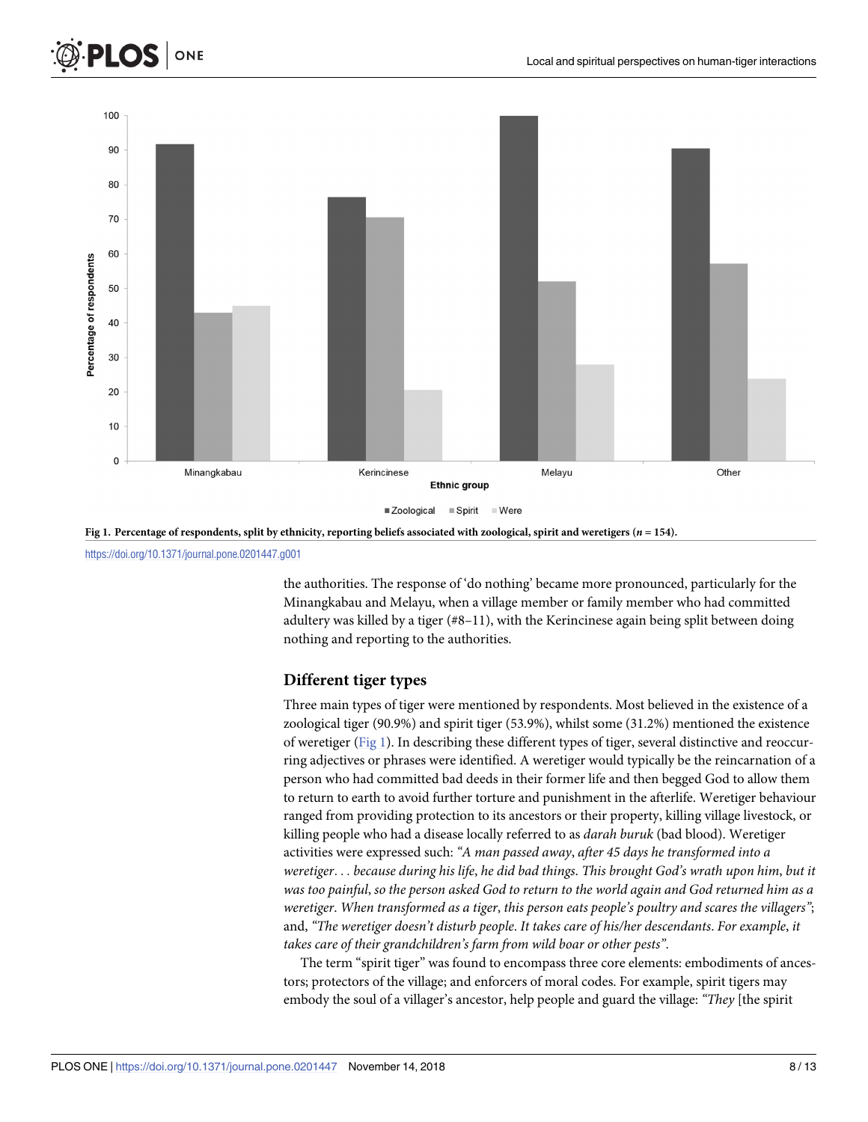



<https://doi.org/10.1371/journal.pone.0201447.g001>

ONE

**PLOS** 

the authorities. The response of 'do nothing' became more pronounced, particularly for the Minangkabau and Melayu, when a village member or family member who had committed adultery was killed by a tiger (#8–11), with the Kerincinese again being split between doing nothing and reporting to the authorities.

#### **Different tiger types**

Three main types of tiger were mentioned by respondents. Most believed in the existence of a zoological tiger (90.9%) and spirit tiger (53.9%), whilst some (31.2%) mentioned the existence of weretiger (Fig 1). In describing these different types of tiger, several distinctive and reoccurring adjectives or phrases were identified. A weretiger would typically be the reincarnation of a person who had committed bad deeds in their former life and then begged God to allow them to return to earth to avoid further torture and punishment in the afterlife. Weretiger behaviour ranged from providing protection to its ancestors or their property, killing village livestock, or killing people who had a disease locally referred to as *darah buruk* (bad blood). Weretiger activities were expressed such: *"A man passed away*, *after 45 days he transformed into a weretiger*. . . *because during his life*, *he did bad things*. *This brought God's wrath upon him*, *but it* was too painful, so the person asked God to return to the world again and God returned him as a *weretiger*. *When transformed as a tiger*, *this person eats people's poultry and scares the villagers"*; and, *"The weretiger doesn't disturb people*. *It takes care of his/her descendants*. *For example*, *it takes care of their grandchildren's farm from wild boar or other pests"*.

The term "spirit tiger" was found to encompass three core elements: embodiments of ancestors; protectors of the village; and enforcers of moral codes. For example, spirit tigers may embody the soul of a villager's ancestor, help people and guard the village: *"They* [the spirit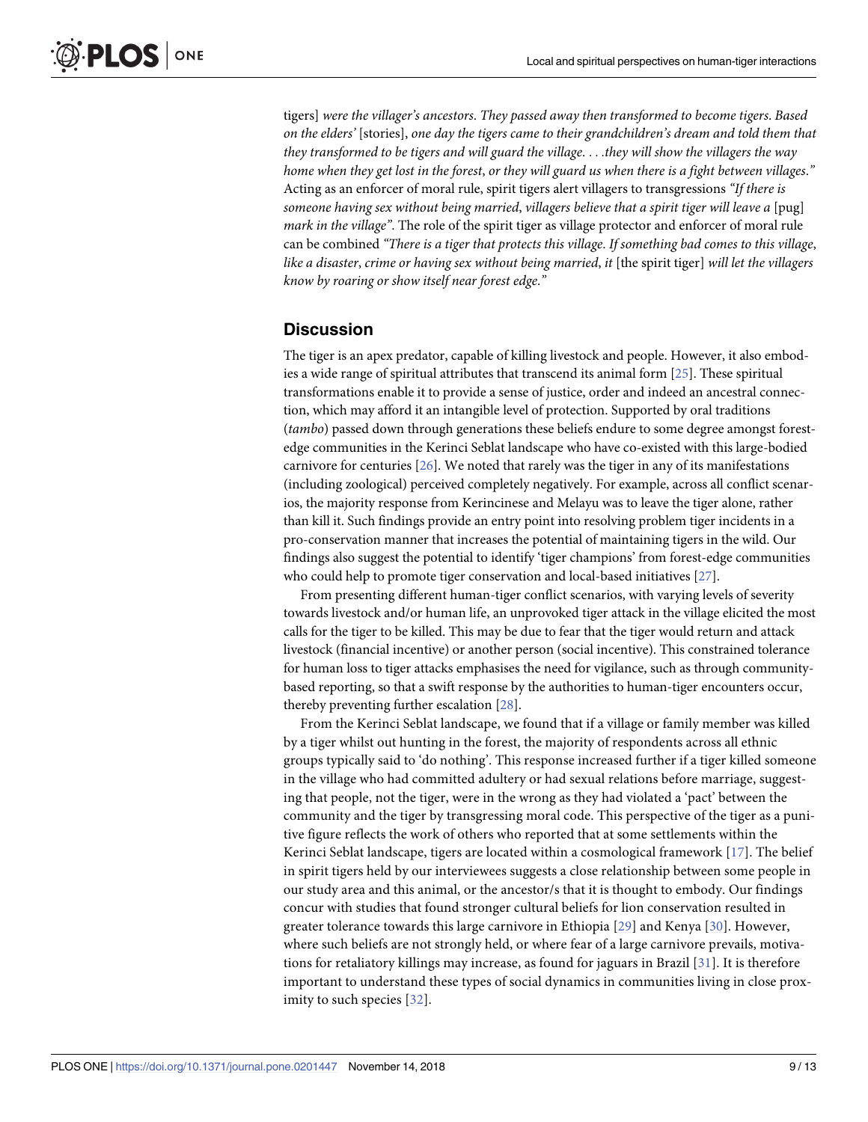<span id="page-8-0"></span>tigers] *were the villager's ancestors*. *They passed away then transformed to become tigers*. *Based on the elders'* [stories], *one day the tigers came to their grandchildren's dream and told them that they transformed to be tigers and will guard the village*. . . .*they will show the villagers the way* home when they get lost in the forest, or they will guard us when there is a fight between villages." Acting as an enforcer of moral rule, spirit tigers alert villagers to transgressions *"If there is someone having sex without being married*, *villagers believe that a spirit tiger will leave a* [pug] *mark in the village"*. The role of the spirit tiger as village protector and enforcer of moral rule can be combined *"There is a tiger that protects this village*. *If something bad comes to this village*, *like a disaster*, *crime or having sex without being married*, *it* [the spirit tiger] *will let the villagers know by roaring or show itself near forest edge*.*"*

#### **Discussion**

The tiger is an apex predator, capable of killing livestock and people. However, it also embodies a wide range of spiritual attributes that transcend its animal form [\[25\]](#page-11-0). These spiritual transformations enable it to provide a sense of justice, order and indeed an ancestral connection, which may afford it an intangible level of protection. Supported by oral traditions (*tambo*) passed down through generations these beliefs endure to some degree amongst forestedge communities in the Kerinci Seblat landscape who have co-existed with this large-bodied carnivore for centuries [\[26\]](#page-11-0). We noted that rarely was the tiger in any of its manifestations (including zoological) perceived completely negatively. For example, across all conflict scenarios, the majority response from Kerincinese and Melayu was to leave the tiger alone, rather than kill it. Such findings provide an entry point into resolving problem tiger incidents in a pro-conservation manner that increases the potential of maintaining tigers in the wild. Our findings also suggest the potential to identify 'tiger champions' from forest-edge communities who could help to promote tiger conservation and local-based initiatives [[27](#page-11-0)].

From presenting different human-tiger conflict scenarios, with varying levels of severity towards livestock and/or human life, an unprovoked tiger attack in the village elicited the most calls for the tiger to be killed. This may be due to fear that the tiger would return and attack livestock (financial incentive) or another person (social incentive). This constrained tolerance for human loss to tiger attacks emphasises the need for vigilance, such as through communitybased reporting, so that a swift response by the authorities to human-tiger encounters occur, thereby preventing further escalation [[28](#page-12-0)].

From the Kerinci Seblat landscape, we found that if a village or family member was killed by a tiger whilst out hunting in the forest, the majority of respondents across all ethnic groups typically said to 'do nothing'. This response increased further if a tiger killed someone in the village who had committed adultery or had sexual relations before marriage, suggesting that people, not the tiger, were in the wrong as they had violated a 'pact' between the community and the tiger by transgressing moral code. This perspective of the tiger as a punitive figure reflects the work of others who reported that at some settlements within the Kerinci Seblat landscape, tigers are located within a cosmological framework [[17](#page-11-0)]. The belief in spirit tigers held by our interviewees suggests a close relationship between some people in our study area and this animal, or the ancestor/s that it is thought to embody. Our findings concur with studies that found stronger cultural beliefs for lion conservation resulted in greater tolerance towards this large carnivore in Ethiopia [\[29\]](#page-12-0) and Kenya [[30](#page-12-0)]. However, where such beliefs are not strongly held, or where fear of a large carnivore prevails, motivations for retaliatory killings may increase, as found for jaguars in Brazil [\[31](#page-12-0)]. It is therefore important to understand these types of social dynamics in communities living in close proximity to such species [\[32\]](#page-12-0).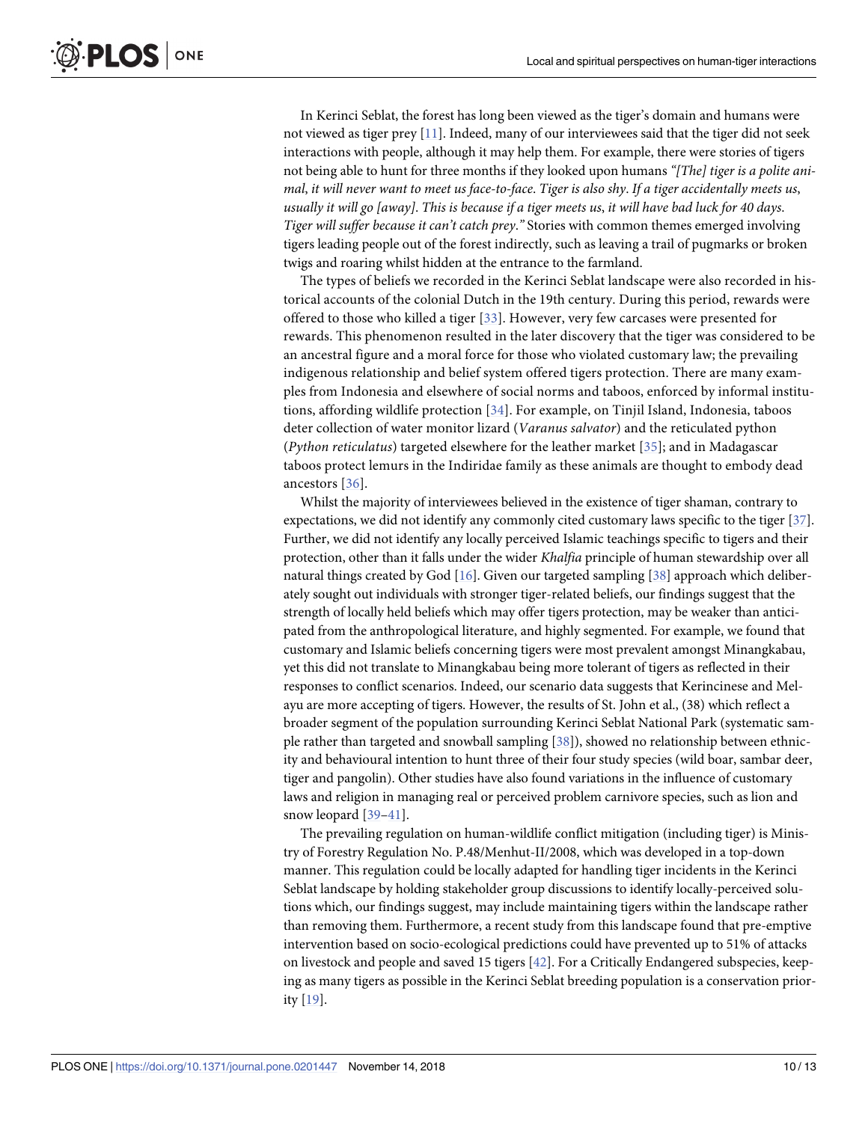<span id="page-9-0"></span>In Kerinci Seblat, the forest has long been viewed as the tiger's domain and humans were not viewed as tiger prey [[11](#page-11-0)]. Indeed, many of our interviewees said that the tiger did not seek interactions with people, although it may help them. For example, there were stories of tigers not being able to hunt for three months if they looked upon humans *"[The] tiger is a polite ani*mal, it will never want to meet us face-to-face. Tiger is also shy. If a tiger accidentally meets us, usually it will go [away]. This is because if a tiger meets us, it will have bad luck for 40 days. *Tiger will suffer because it can't catch prey*.*"* Stories with common themes emerged involving tigers leading people out of the forest indirectly, such as leaving a trail of pugmarks or broken twigs and roaring whilst hidden at the entrance to the farmland.

The types of beliefs we recorded in the Kerinci Seblat landscape were also recorded in historical accounts of the colonial Dutch in the 19th century. During this period, rewards were offered to those who killed a tiger [\[33](#page-12-0)]. However, very few carcases were presented for rewards. This phenomenon resulted in the later discovery that the tiger was considered to be an ancestral figure and a moral force for those who violated customary law; the prevailing indigenous relationship and belief system offered tigers protection. There are many examples from Indonesia and elsewhere of social norms and taboos, enforced by informal institutions, affording wildlife protection [\[34\]](#page-12-0). For example, on Tinjil Island, Indonesia, taboos deter collection of water monitor lizard (*Varanus salvator*) and the reticulated python (*Python reticulatus*) targeted elsewhere for the leather market [\[35](#page-12-0)]; and in Madagascar taboos protect lemurs in the Indiridae family as these animals are thought to embody dead ancestors [[36\]](#page-12-0).

Whilst the majority of interviewees believed in the existence of tiger shaman, contrary to expectations, we did not identify any commonly cited customary laws specific to the tiger [[37\]](#page-12-0). Further, we did not identify any locally perceived Islamic teachings specific to tigers and their protection, other than it falls under the wider *Khalfia* principle of human stewardship over all natural things created by God [[16](#page-11-0)]. Given our targeted sampling [[38](#page-12-0)] approach which deliberately sought out individuals with stronger tiger-related beliefs, our findings suggest that the strength of locally held beliefs which may offer tigers protection, may be weaker than anticipated from the anthropological literature, and highly segmented. For example, we found that customary and Islamic beliefs concerning tigers were most prevalent amongst Minangkabau, yet this did not translate to Minangkabau being more tolerant of tigers as reflected in their responses to conflict scenarios. Indeed, our scenario data suggests that Kerincinese and Melayu are more accepting of tigers. However, the results of St. John et al., (38) which reflect a broader segment of the population surrounding Kerinci Seblat National Park (systematic sample rather than targeted and snowball sampling [\[38\]](#page-12-0)), showed no relationship between ethnicity and behavioural intention to hunt three of their four study species (wild boar, sambar deer, tiger and pangolin). Other studies have also found variations in the influence of customary laws and religion in managing real or perceived problem carnivore species, such as lion and snow leopard [\[39–41](#page-12-0)].

The prevailing regulation on human-wildlife conflict mitigation (including tiger) is Ministry of Forestry Regulation No. P.48/Menhut-II/2008, which was developed in a top-down manner. This regulation could be locally adapted for handling tiger incidents in the Kerinci Seblat landscape by holding stakeholder group discussions to identify locally-perceived solutions which, our findings suggest, may include maintaining tigers within the landscape rather than removing them. Furthermore, a recent study from this landscape found that pre-emptive intervention based on socio-ecological predictions could have prevented up to 51% of attacks on livestock and people and saved 15 tigers [\[42\]](#page-12-0). For a Critically Endangered subspecies, keeping as many tigers as possible in the Kerinci Seblat breeding population is a conservation priority [[19](#page-11-0)].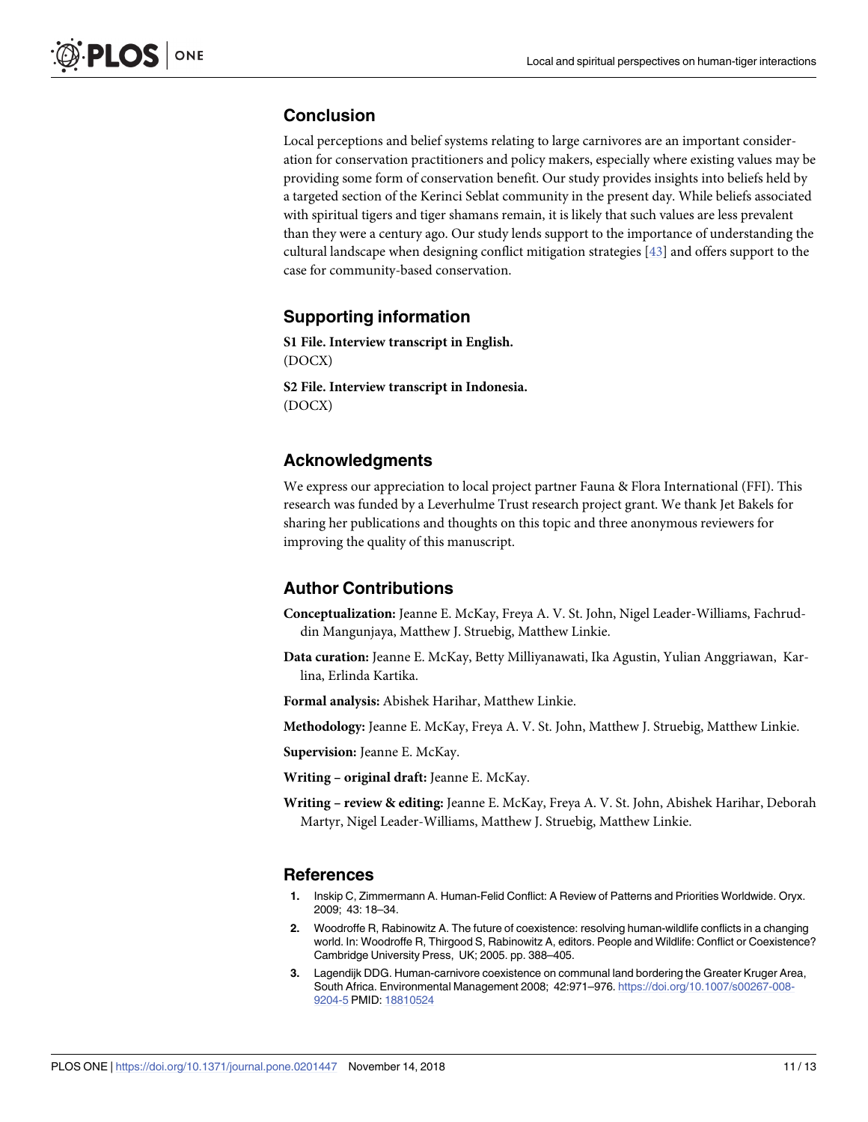### <span id="page-10-0"></span>**Conclusion**

Local perceptions and belief systems relating to large carnivores are an important consideration for conservation practitioners and policy makers, especially where existing values may be providing some form of conservation benefit. Our study provides insights into beliefs held by a targeted section of the Kerinci Seblat community in the present day. While beliefs associated with spiritual tigers and tiger shamans remain, it is likely that such values are less prevalent than they were a century ago. Our study lends support to the importance of understanding the cultural landscape when designing conflict mitigation strategies [\[43\]](#page-12-0) and offers support to the case for community-based conservation.

#### **Supporting information**

**S1 [File.](http://www.plosone.org/article/fetchSingleRepresentation.action?uri=info:doi/10.1371/journal.pone.0201447.s001) Interview transcript in English.** (DOCX)

**S2 [File.](http://www.plosone.org/article/fetchSingleRepresentation.action?uri=info:doi/10.1371/journal.pone.0201447.s002) Interview transcript in Indonesia.** (DOCX)

# **Acknowledgments**

We express our appreciation to local project partner Fauna & Flora International (FFI). This research was funded by a Leverhulme Trust research project grant. We thank Jet Bakels for sharing her publications and thoughts on this topic and three anonymous reviewers for improving the quality of this manuscript.

# **Author Contributions**

- **Conceptualization:** Jeanne E. McKay, Freya A. V. St. John, Nigel Leader-Williams, Fachruddin Mangunjaya, Matthew J. Struebig, Matthew Linkie.
- **Data curation:** Jeanne E. McKay, Betty Milliyanawati, Ika Agustin, Yulian Anggriawan, Karlina, Erlinda Kartika.
- **Formal analysis:** Abishek Harihar, Matthew Linkie.

**Methodology:** Jeanne E. McKay, Freya A. V. St. John, Matthew J. Struebig, Matthew Linkie.

**Supervision:** Jeanne E. McKay.

**Writing – original draft:** Jeanne E. McKay.

**Writing – review & editing:** Jeanne E. McKay, Freya A. V. St. John, Abishek Harihar, Deborah Martyr, Nigel Leader-Williams, Matthew J. Struebig, Matthew Linkie.

#### **References**

- **[1](#page-1-0).** Inskip C, Zimmermann A. Human-Felid Conflict: A Review of Patterns and Priorities Worldwide. Oryx. 2009; 43: 18–34.
- **[2](#page-1-0).** Woodroffe R, Rabinowitz A. The future of coexistence: resolving human-wildlife conflicts in a changing world. In: Woodroffe R, Thirgood S, Rabinowitz A, editors. People and Wildlife: Conflict or Coexistence? Cambridge University Press, UK; 2005. pp. 388–405.
- **[3](#page-1-0).** Lagendijk DDG. Human-carnivore coexistence on communal land bordering the Greater Kruger Area, South Africa. Environmental Management 2008; 42:971–976. [https://doi.org/10.1007/s00267-008-](https://doi.org/10.1007/s00267-008-9204-5) [9204-5](https://doi.org/10.1007/s00267-008-9204-5) PMID: [18810524](http://www.ncbi.nlm.nih.gov/pubmed/18810524)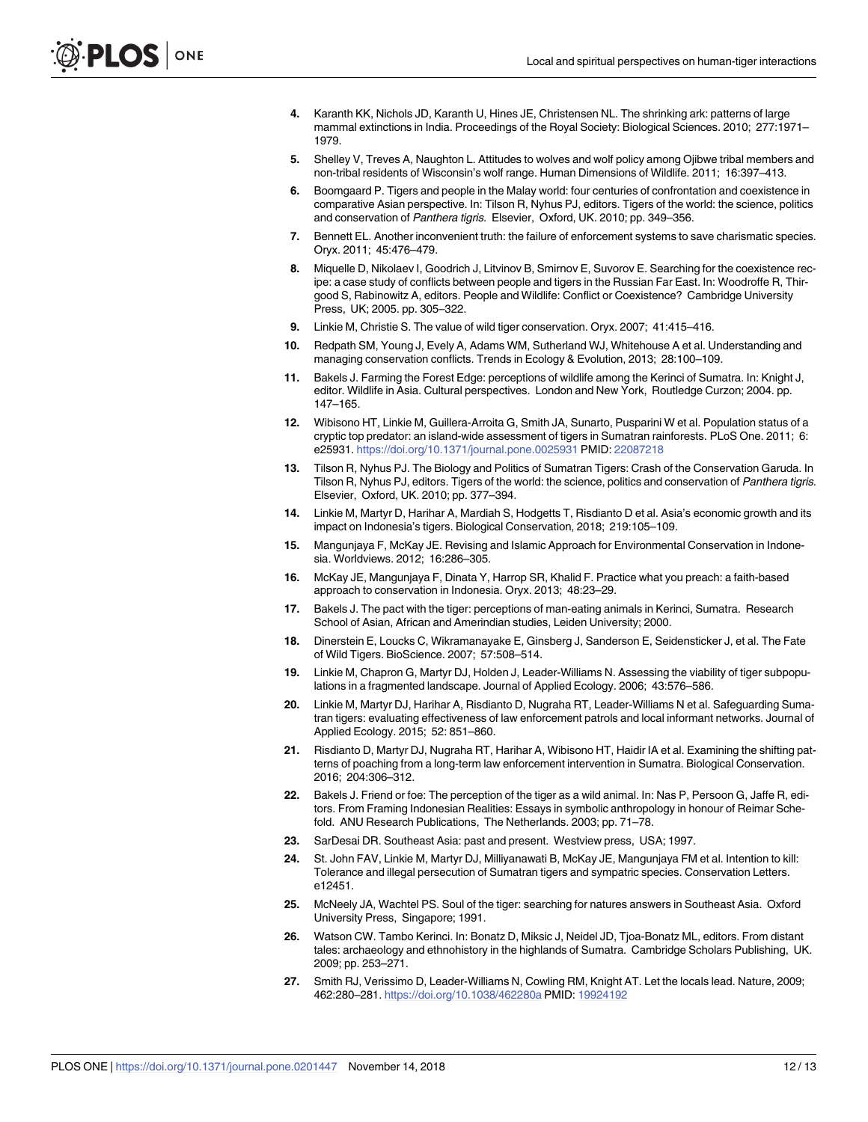- <span id="page-11-0"></span>**[4](#page-1-0).** Karanth KK, Nichols JD, Karanth U, Hines JE, Christensen NL. The shrinking ark: patterns of large mammal extinctions in India. Proceedings of the Royal Society: Biological Sciences. 2010; 277:1971– 1979.
- **[5](#page-1-0).** Shelley V, Treves A, Naughton L. Attitudes to wolves and wolf policy among Ojibwe tribal members and non-tribal residents of Wisconsin's wolf range. Human Dimensions of Wildlife. 2011; 16:397–413.
- **[6](#page-1-0).** Boomgaard P. Tigers and people in the Malay world: four centuries of confrontation and coexistence in comparative Asian perspective. In: Tilson R, Nyhus PJ, editors. Tigers of the world: the science, politics and conservation of Panthera tigris. Elsevier, Oxford, UK. 2010; pp. 349–356.
- **[7](#page-1-0).** Bennett EL. Another inconvenient truth: the failure of enforcement systems to save charismatic species. Oryx. 2011; 45:476–479.
- **[8](#page-1-0).** Miquelle D, Nikolaev I, Goodrich J, Litvinov B, Smirnov E, Suvorov E. Searching for the coexistence recipe: a case study of conflicts between people and tigers in the Russian Far East. In: Woodroffe R, Thirgood S, Rabinowitz A, editors. People and Wildlife: Conflict or Coexistence? Cambridge University Press, UK; 2005. pp. 305–322.
- **[9](#page-1-0).** Linkie M, Christie S. The value of wild tiger conservation. Oryx. 2007; 41:415–416.
- **[10](#page-1-0).** Redpath SM, Young J, Evely A, Adams WM, Sutherland WJ, Whitehouse A et al. Understanding and managing conservation conflicts. Trends in Ecology & Evolution, 2013; 28:100–109.
- **[11](#page-1-0).** Bakels J. Farming the Forest Edge: perceptions of wildlife among the Kerinci of Sumatra. In: Knight J, editor. Wildlife in Asia. Cultural perspectives. London and New York, Routledge Curzon; 2004. pp. 147–165.
- **[12](#page-1-0).** Wibisono HT, Linkie M, Guillera-Arroita G, Smith JA, Sunarto, Pusparini W et al. Population status of a cryptic top predator: an island-wide assessment of tigers in Sumatran rainforests. PLoS One. 2011; 6: e25931. <https://doi.org/10.1371/journal.pone.0025931> PMID: [22087218](http://www.ncbi.nlm.nih.gov/pubmed/22087218)
- **[13](#page-1-0).** Tilson R, Nyhus PJ. The Biology and Politics of Sumatran Tigers: Crash of the Conservation Garuda. In Tilson R, Nyhus PJ, editors. Tigers of the world: the science, politics and conservation of Panthera tigris. Elsevier, Oxford, UK. 2010; pp. 377–394.
- **[14](#page-1-0).** Linkie M, Martyr D, Harihar A, Mardiah S, Hodgetts T, Risdianto D et al. Asia's economic growth and its impact on Indonesia's tigers. Biological Conservation, 2018; 219:105–109.
- **[15](#page-1-0).** Mangunjaya F, McKay JE. Revising and Islamic Approach for Environmental Conservation in Indonesia. Worldviews. 2012; 16:286–305.
- **[16](#page-1-0).** McKay JE, Mangunjaya F, Dinata Y, Harrop SR, Khalid F. Practice what you preach: a faith-based approach to conservation in Indonesia. Oryx. 2013; 48:23–29.
- **[17](#page-1-0).** Bakels J. The pact with the tiger: perceptions of man-eating animals in Kerinci, Sumatra. Research School of Asian, African and Amerindian studies, Leiden University; 2000.
- **[18](#page-2-0).** Dinerstein E, Loucks C, Wikramanayake E, Ginsberg J, Sanderson E, Seidensticker J, et al. The Fate of Wild Tigers. BioScience. 2007; 57:508–514.
- **[19](#page-2-0).** Linkie M, Chapron G, Martyr DJ, Holden J, Leader-Williams N. Assessing the viability of tiger subpopulations in a fragmented landscape. Journal of Applied Ecology. 2006; 43:576–586.
- **[20](#page-2-0).** Linkie M, Martyr DJ, Harihar A, Risdianto D, Nugraha RT, Leader-Williams N et al. Safeguarding Sumatran tigers: evaluating effectiveness of law enforcement patrols and local informant networks. Journal of Applied Ecology. 2015; 52: 851–860.
- **[21](#page-2-0).** Risdianto D, Martyr DJ, Nugraha RT, Harihar A, Wibisono HT, Haidir IA et al. Examining the shifting patterns of poaching from a long-term law enforcement intervention in Sumatra. Biological Conservation. 2016; 204:306–312.
- **[22](#page-2-0).** Bakels J. Friend or foe: The perception of the tiger as a wild animal. In: Nas P, Persoon G, Jaffe R, editors. From Framing Indonesian Realities: Essays in symbolic anthropology in honour of Reimar Schefold. ANU Research Publications, The Netherlands. 2003; pp. 71–78.
- **[23](#page-2-0).** SarDesai DR. Southeast Asia: past and present. Westview press, USA; 1997.
- **[24](#page-2-0).** St. John FAV, Linkie M, Martyr DJ, Milliyanawati B, McKay JE, Mangunjaya FM et al. Intention to kill: Tolerance and illegal persecution of Sumatran tigers and sympatric species. Conservation Letters. e12451.
- **[25](#page-8-0).** McNeely JA, Wachtel PS. Soul of the tiger: searching for natures answers in Southeast Asia. Oxford University Press, Singapore; 1991.
- **[26](#page-8-0).** Watson CW. Tambo Kerinci. In: Bonatz D, Miksic J, Neidel JD, Tjoa-Bonatz ML, editors. From distant tales: archaeology and ethnohistory in the highlands of Sumatra. Cambridge Scholars Publishing, UK. 2009; pp. 253–271.
- **[27](#page-8-0).** Smith RJ, Verissimo D, Leader-Williams N, Cowling RM, Knight AT. Let the locals lead. Nature, 2009; 462:280–281. <https://doi.org/10.1038/462280a> PMID: [19924192](http://www.ncbi.nlm.nih.gov/pubmed/19924192)